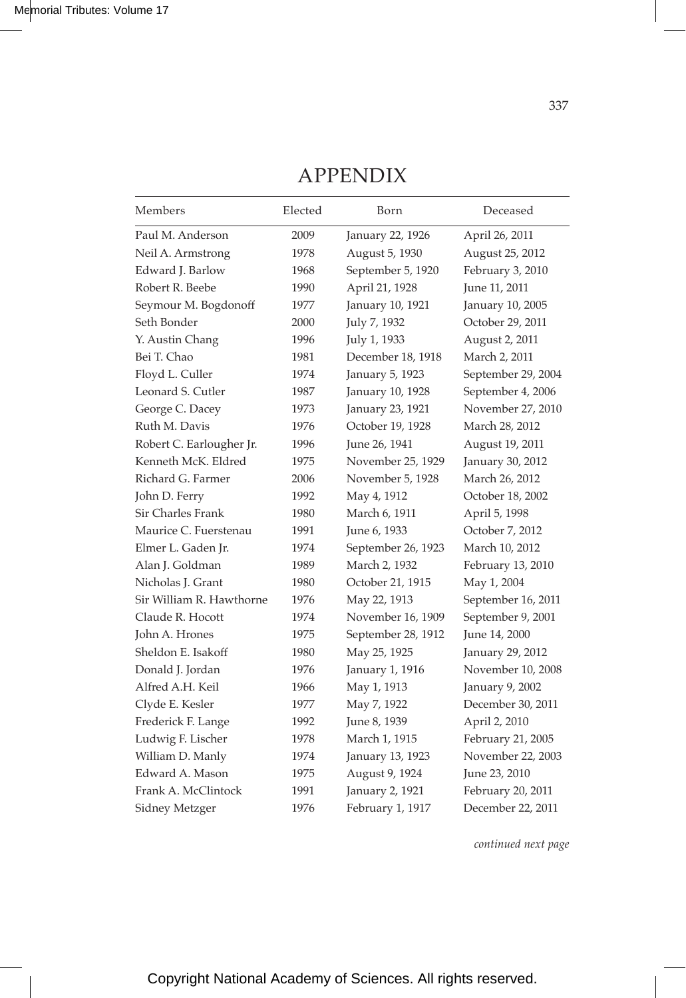## APPENDIX

| Members                  | Elected | Born               | Deceased           |
|--------------------------|---------|--------------------|--------------------|
| Paul M. Anderson         | 2009    | January 22, 1926   | April 26, 2011     |
| Neil A. Armstrong        | 1978    | August 5, 1930     | August 25, 2012    |
| Edward J. Barlow         | 1968    | September 5, 1920  | February 3, 2010   |
| Robert R. Beebe          | 1990    | April 21, 1928     | June 11, 2011      |
| Seymour M. Bogdonoff     | 1977    | January 10, 1921   | January 10, 2005   |
| Seth Bonder              | 2000    | July 7, 1932       | October 29, 2011   |
| Y. Austin Chang          | 1996    | July 1, 1933       | August 2, 2011     |
| Bei T. Chao              | 1981    | December 18, 1918  | March 2, 2011      |
| Floyd L. Culler          | 1974    | January 5, 1923    | September 29, 2004 |
| Leonard S. Cutler        | 1987    | January 10, 1928   | September 4, 2006  |
| George C. Dacey          | 1973    | January 23, 1921   | November 27, 2010  |
| Ruth M. Davis            | 1976    | October 19, 1928   | March 28, 2012     |
| Robert C. Earlougher Jr. | 1996    | June 26, 1941      | August 19, 2011    |
| Kenneth McK. Eldred      | 1975    | November 25, 1929  | January 30, 2012   |
| Richard G. Farmer        | 2006    | November 5, 1928   | March 26, 2012     |
| John D. Ferry            | 1992    | May 4, 1912        | October 18, 2002   |
| Sir Charles Frank        | 1980    | March 6, 1911      | April 5, 1998      |
| Maurice C. Fuerstenau    | 1991    | June 6, 1933       | October 7, 2012    |
| Elmer L. Gaden Jr.       | 1974    | September 26, 1923 | March 10, 2012     |
| Alan J. Goldman          | 1989    | March 2, 1932      | February 13, 2010  |
| Nicholas J. Grant        | 1980    | October 21, 1915   | May 1, 2004        |
| Sir William R. Hawthorne | 1976    | May 22, 1913       | September 16, 2011 |
| Claude R. Hocott         | 1974    | November 16, 1909  | September 9, 2001  |
| John A. Hrones           | 1975    | September 28, 1912 | June 14, 2000      |
| Sheldon E. Isakoff       | 1980    | May 25, 1925       | January 29, 2012   |
| Donald J. Jordan         | 1976    | January 1, 1916    | November 10, 2008  |
| Alfred A.H. Keil         | 1966    | May 1, 1913        | January 9, 2002    |
| Clyde E. Kesler          | 1977    | May 7, 1922        | December 30, 2011  |
| Frederick F. Lange       | 1992    | June 8, 1939       | April 2, 2010      |
| Ludwig F. Lischer        | 1978    | March 1, 1915      | February 21, 2005  |
| William D. Manly         | 1974    | January 13, 1923   | November 22, 2003  |
| Edward A. Mason          | 1975    | August 9, 1924     | June 23, 2010      |
| Frank A. McClintock      | 1991    | January 2, 1921    | February 20, 2011  |
| Sidney Metzger           | 1976    | February 1, 1917   | December 22, 2011  |

*continued next page*